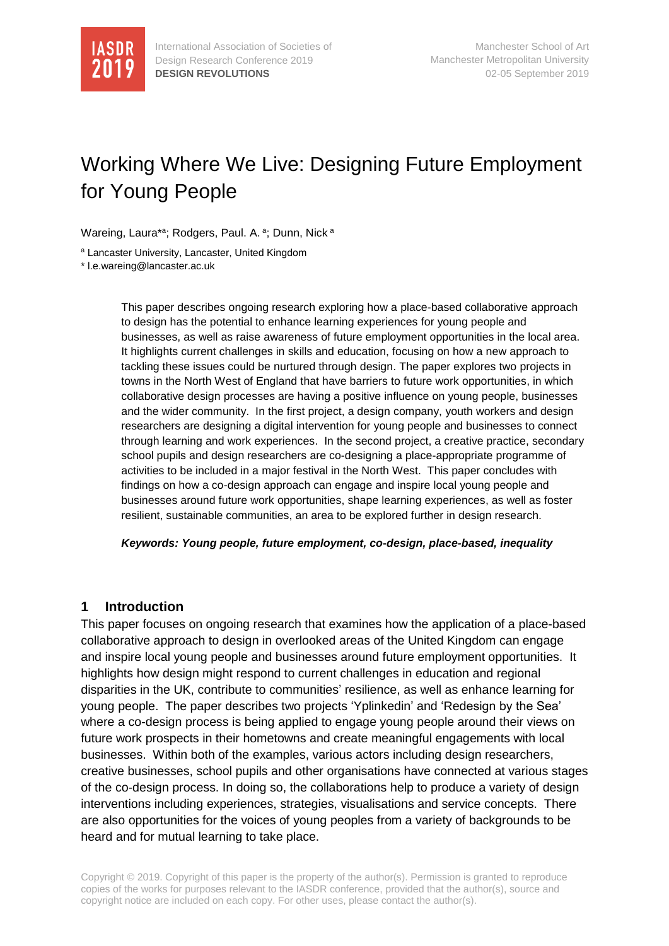

# Working Where We Live: Designing Future Employment for Young People

Wareing, Laura\*a; Rodgers, Paul. A. a; Dunn, Nick a

<sup>a</sup> Lancaster University, Lancaster, United Kingdom

\* l.e.wareing@lancaster.ac.uk

This paper describes ongoing research exploring how a place-based collaborative approach to design has the potential to enhance learning experiences for young people and businesses, as well as raise awareness of future employment opportunities in the local area. It highlights current challenges in skills and education, focusing on how a new approach to tackling these issues could be nurtured through design. The paper explores two projects in towns in the North West of England that have barriers to future work opportunities, in which collaborative design processes are having a positive influence on young people, businesses and the wider community. In the first project, a design company, youth workers and design researchers are designing a digital intervention for young people and businesses to connect through learning and work experiences. In the second project, a creative practice, secondary school pupils and design researchers are co-designing a place-appropriate programme of activities to be included in a major festival in the North West. This paper concludes with findings on how a co-design approach can engage and inspire local young people and businesses around future work opportunities, shape learning experiences, as well as foster resilient, sustainable communities, an area to be explored further in design research.

*Keywords: Young people, future employment, co-design, place-based, inequality*

#### **1 Introduction**

This paper focuses on ongoing research that examines how the application of a place-based collaborative approach to design in overlooked areas of the United Kingdom can engage and inspire local young people and businesses around future employment opportunities. It highlights how design might respond to current challenges in education and regional disparities in the UK, contribute to communities' resilience, as well as enhance learning for young people. The paper describes two projects 'Yplinkedin' and 'Redesign by the Sea' where a co-design process is being applied to engage young people around their views on future work prospects in their hometowns and create meaningful engagements with local businesses. Within both of the examples, various actors including design researchers, creative businesses, school pupils and other organisations have connected at various stages of the co-design process. In doing so, the collaborations help to produce a variety of design interventions including experiences, strategies, visualisations and service concepts. There are also opportunities for the voices of young peoples from a variety of backgrounds to be heard and for mutual learning to take place.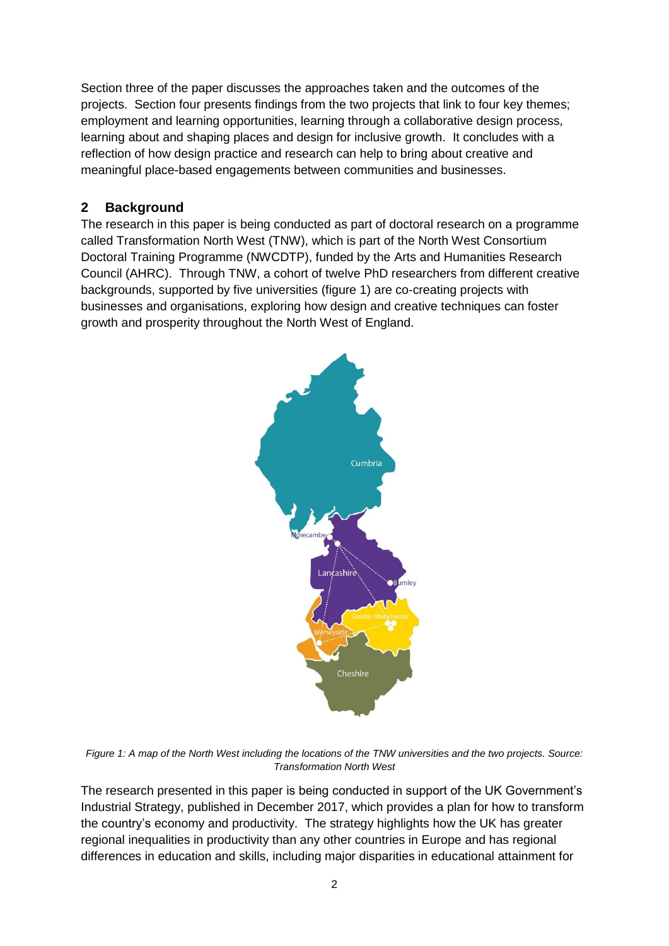Section three of the paper discusses the approaches taken and the outcomes of the projects. Section four presents findings from the two projects that link to four key themes; employment and learning opportunities, learning through a collaborative design process, learning about and shaping places and design for inclusive growth. It concludes with a reflection of how design practice and research can help to bring about creative and meaningful place-based engagements between communities and businesses.

## **2 Background**

The research in this paper is being conducted as part of doctoral research on a programme called Transformation North West (TNW), which is part of the North West Consortium Doctoral Training Programme (NWCDTP), funded by the Arts and Humanities Research Council (AHRC). Through TNW, a cohort of twelve PhD researchers from different creative backgrounds, supported by five universities (figure 1) are co-creating projects with businesses and organisations, exploring how design and creative techniques can foster growth and prosperity throughout the North West of England.



*Figure 1: A map of the North West including the locations of the TNW universities and the two projects. Source: Transformation North West*

The research presented in this paper is being conducted in support of the UK Government's Industrial Strategy, published in December 2017, which provides a plan for how to transform the country's economy and productivity. The strategy highlights how the UK has greater regional inequalities in productivity than any other countries in Europe and has regional differences in education and skills, including major disparities in educational attainment for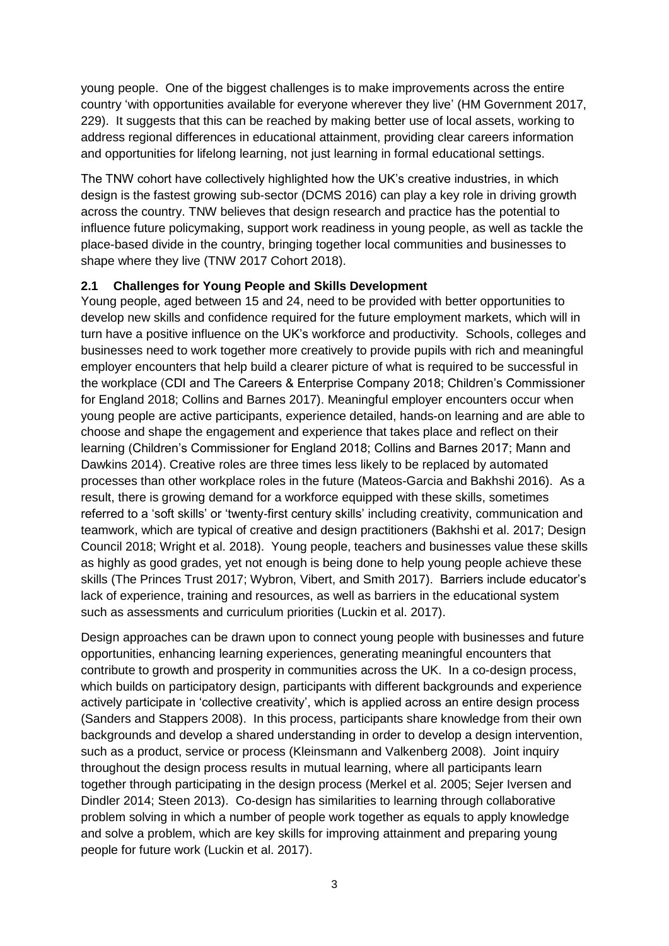young people. One of the biggest challenges is to make improvements across the entire country 'with opportunities available for everyone wherever they live' (HM Government 2017, 229). It suggests that this can be reached by making better use of local assets, working to address regional differences in educational attainment, providing clear careers information and opportunities for lifelong learning, not just learning in formal educational settings.

The TNW cohort have collectively highlighted how the UK's creative industries, in which design is the fastest growing sub-sector (DCMS 2016) can play a key role in driving growth across the country. TNW believes that design research and practice has the potential to influence future policymaking, support work readiness in young people, as well as tackle the place-based divide in the country, bringing together local communities and businesses to shape where they live (TNW 2017 Cohort 2018).

### **2.1 Challenges for Young People and Skills Development**

Young people, aged between 15 and 24, need to be provided with better opportunities to develop new skills and confidence required for the future employment markets, which will in turn have a positive influence on the UK's workforce and productivity. Schools, colleges and businesses need to work together more creatively to provide pupils with rich and meaningful employer encounters that help build a clearer picture of what is required to be successful in the workplace (CDI and The Careers & Enterprise Company 2018; Children's Commissioner for England 2018; Collins and Barnes 2017). Meaningful employer encounters occur when young people are active participants, experience detailed, hands-on learning and are able to choose and shape the engagement and experience that takes place and reflect on their learning (Children's Commissioner for England 2018; Collins and Barnes 2017; Mann and Dawkins 2014). Creative roles are three times less likely to be replaced by automated processes than other workplace roles in the future (Mateos-Garcia and Bakhshi 2016). As a result, there is growing demand for a workforce equipped with these skills, sometimes referred to a 'soft skills' or 'twenty-first century skills' including creativity, communication and teamwork, which are typical of creative and design practitioners (Bakhshi et al. 2017; Design Council 2018; Wright et al. 2018). Young people, teachers and businesses value these skills as highly as good grades, yet not enough is being done to help young people achieve these skills (The Princes Trust 2017; Wybron, Vibert, and Smith 2017). Barriers include educator's lack of experience, training and resources, as well as barriers in the educational system such as assessments and curriculum priorities (Luckin et al. 2017).

Design approaches can be drawn upon to connect young people with businesses and future opportunities, enhancing learning experiences, generating meaningful encounters that contribute to growth and prosperity in communities across the UK. In a co-design process, which builds on participatory design, participants with different backgrounds and experience actively participate in 'collective creativity', which is applied across an entire design process (Sanders and Stappers 2008). In this process, participants share knowledge from their own backgrounds and develop a shared understanding in order to develop a design intervention, such as a product, service or process (Kleinsmann and Valkenberg 2008). Joint inquiry throughout the design process results in mutual learning, where all participants learn together through participating in the design process (Merkel et al. 2005; Sejer Iversen and Dindler 2014; Steen 2013). Co-design has similarities to learning through collaborative problem solving in which a number of people work together as equals to apply knowledge and solve a problem, which are key skills for improving attainment and preparing young people for future work (Luckin et al. 2017).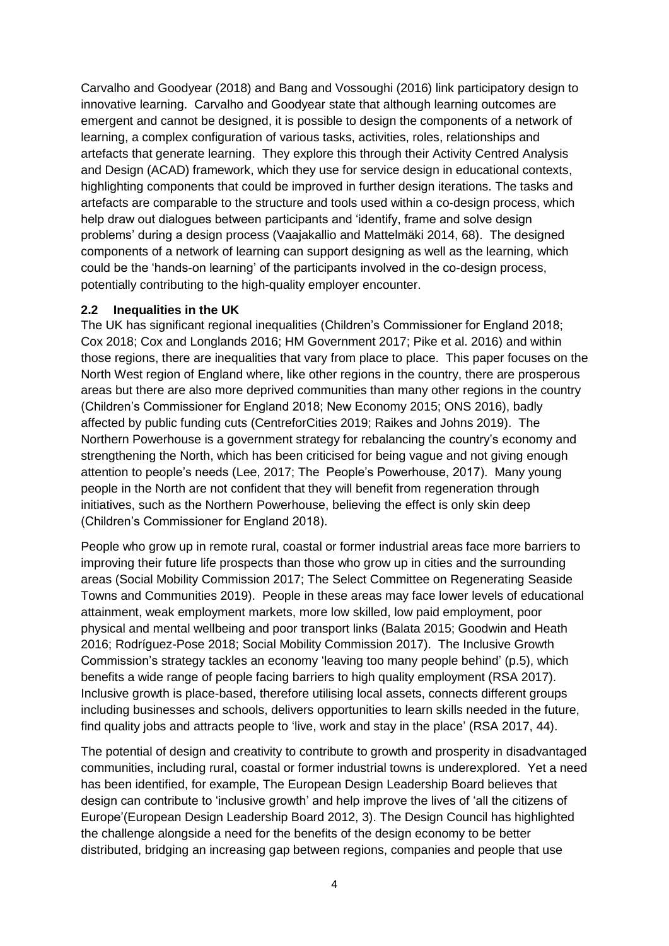Carvalho and Goodyear (2018) and Bang and Vossoughi (2016) link participatory design to innovative learning. Carvalho and Goodyear state that although learning outcomes are emergent and cannot be designed, it is possible to design the components of a network of learning, a complex configuration of various tasks, activities, roles, relationships and artefacts that generate learning. They explore this through their Activity Centred Analysis and Design (ACAD) framework, which they use for service design in educational contexts, highlighting components that could be improved in further design iterations. The tasks and artefacts are comparable to the structure and tools used within a co-design process, which help draw out dialogues between participants and 'identify, frame and solve design problems' during a design process (Vaajakallio and Mattelmäki 2014, 68). The designed components of a network of learning can support designing as well as the learning, which could be the 'hands-on learning' of the participants involved in the co-design process, potentially contributing to the high-quality employer encounter.

#### **2.2 Inequalities in the UK**

The UK has significant regional inequalities (Children's Commissioner for England 2018; Cox 2018; Cox and Longlands 2016; HM Government 2017; Pike et al. 2016) and within those regions, there are inequalities that vary from place to place. This paper focuses on the North West region of England where, like other regions in the country, there are prosperous areas but there are also more deprived communities than many other regions in the country (Children's Commissioner for England 2018; New Economy 2015; ONS 2016), badly affected by public funding cuts (CentreforCities 2019; Raikes and Johns 2019). The Northern Powerhouse is a government strategy for rebalancing the country's economy and strengthening the North, which has been criticised for being vague and not giving enough attention to people's needs (Lee, 2017; The People's Powerhouse, 2017). Many young people in the North are not confident that they will benefit from regeneration through initiatives, such as the Northern Powerhouse, believing the effect is only skin deep (Children's Commissioner for England 2018).

People who grow up in remote rural, coastal or former industrial areas face more barriers to improving their future life prospects than those who grow up in cities and the surrounding areas (Social Mobility Commission 2017; The Select Committee on Regenerating Seaside Towns and Communities 2019). People in these areas may face lower levels of educational attainment, weak employment markets, more low skilled, low paid employment, poor physical and mental wellbeing and poor transport links (Balata 2015; Goodwin and Heath 2016; Rodríguez-Pose 2018; Social Mobility Commission 2017). The Inclusive Growth Commission's strategy tackles an economy 'leaving too many people behind' (p.5), which benefits a wide range of people facing barriers to high quality employment (RSA 2017). Inclusive growth is place-based, therefore utilising local assets, connects different groups including businesses and schools, delivers opportunities to learn skills needed in the future, find quality jobs and attracts people to 'live, work and stay in the place' (RSA 2017, 44).

The potential of design and creativity to contribute to growth and prosperity in disadvantaged communities, including rural, coastal or former industrial towns is underexplored. Yet a need has been identified, for example, The European Design Leadership Board believes that design can contribute to 'inclusive growth' and help improve the lives of 'all the citizens of Europe'(European Design Leadership Board 2012, 3). The Design Council has highlighted the challenge alongside a need for the benefits of the design economy to be better distributed, bridging an increasing gap between regions, companies and people that use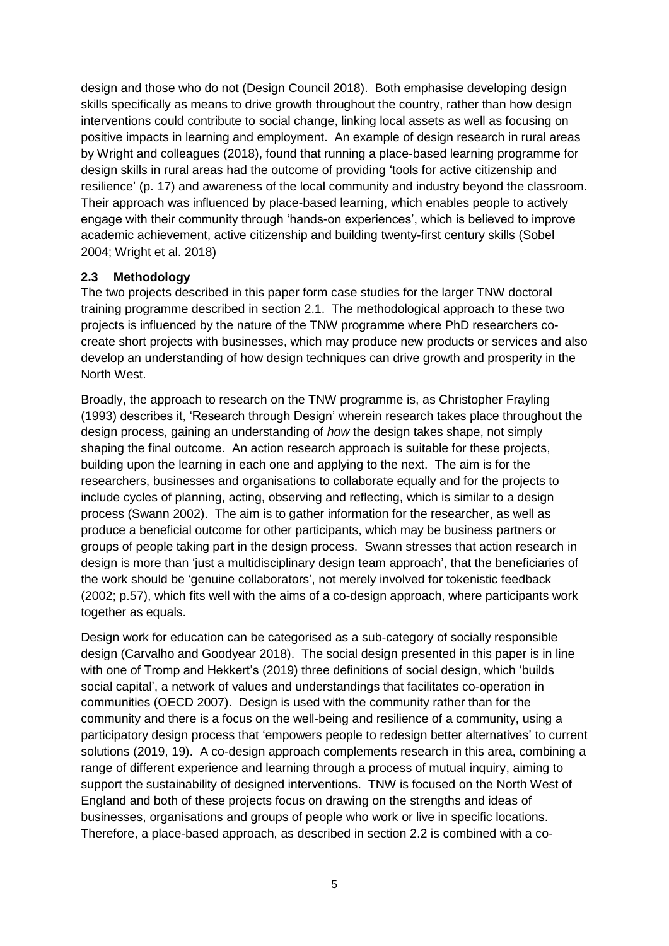design and those who do not (Design Council 2018). Both emphasise developing design skills specifically as means to drive growth throughout the country, rather than how design interventions could contribute to social change, linking local assets as well as focusing on positive impacts in learning and employment. An example of design research in rural areas by Wright and colleagues (2018), found that running a place-based learning programme for design skills in rural areas had the outcome of providing 'tools for active citizenship and resilience' (p. 17) and awareness of the local community and industry beyond the classroom. Their approach was influenced by place-based learning, which enables people to actively engage with their community through 'hands-on experiences', which is believed to improve academic achievement, active citizenship and building twenty-first century skills (Sobel 2004; Wright et al. 2018)

### **2.3 Methodology**

The two projects described in this paper form case studies for the larger TNW doctoral training programme described in section 2.1. The methodological approach to these two projects is influenced by the nature of the TNW programme where PhD researchers cocreate short projects with businesses, which may produce new products or services and also develop an understanding of how design techniques can drive growth and prosperity in the North West.

Broadly, the approach to research on the TNW programme is, as Christopher Frayling (1993) describes it, 'Research through Design' wherein research takes place throughout the design process, gaining an understanding of *how* the design takes shape, not simply shaping the final outcome. An action research approach is suitable for these projects, building upon the learning in each one and applying to the next. The aim is for the researchers, businesses and organisations to collaborate equally and for the projects to include cycles of planning, acting, observing and reflecting, which is similar to a design process (Swann 2002). The aim is to gather information for the researcher, as well as produce a beneficial outcome for other participants, which may be business partners or groups of people taking part in the design process. Swann stresses that action research in design is more than 'just a multidisciplinary design team approach', that the beneficiaries of the work should be 'genuine collaborators', not merely involved for tokenistic feedback (2002; p.57), which fits well with the aims of a co-design approach, where participants work together as equals.

Design work for education can be categorised as a sub-category of socially responsible design (Carvalho and Goodyear 2018). The social design presented in this paper is in line with one of Tromp and Hekkert's (2019) three definitions of social design, which 'builds social capital', a network of values and understandings that facilitates co-operation in communities (OECD 2007). Design is used with the community rather than for the community and there is a focus on the well-being and resilience of a community, using a participatory design process that 'empowers people to redesign better alternatives' to current solutions (2019, 19). A co-design approach complements research in this area, combining a range of different experience and learning through a process of mutual inquiry, aiming to support the sustainability of designed interventions. TNW is focused on the North West of England and both of these projects focus on drawing on the strengths and ideas of businesses, organisations and groups of people who work or live in specific locations. Therefore, a place-based approach, as described in section 2.2 is combined with a co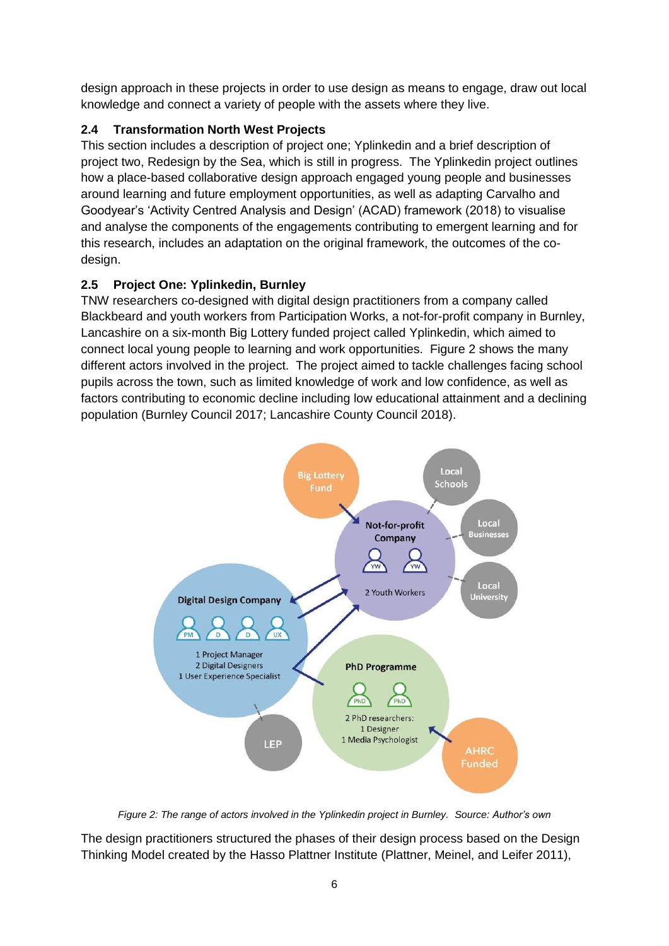design approach in these projects in order to use design as means to engage, draw out local knowledge and connect a variety of people with the assets where they live.

# **2.4 Transformation North West Projects**

This section includes a description of project one; Yplinkedin and a brief description of project two, Redesign by the Sea, which is still in progress. The Yplinkedin project outlines how a place-based collaborative design approach engaged young people and businesses around learning and future employment opportunities, as well as adapting Carvalho and Goodyear's 'Activity Centred Analysis and Design' (ACAD) framework (2018) to visualise and analyse the components of the engagements contributing to emergent learning and for this research, includes an adaptation on the original framework, the outcomes of the codesign.

## **2.5 Project One: Yplinkedin, Burnley**

TNW researchers co-designed with digital design practitioners from a company called Blackbeard and youth workers from Participation Works, a not-for-profit company in Burnley, Lancashire on a six-month Big Lottery funded project called Yplinkedin, which aimed to connect local young people to learning and work opportunities. Figure 2 shows the many different actors involved in the project. The project aimed to tackle challenges facing school pupils across the town, such as limited knowledge of work and low confidence, as well as factors contributing to economic decline including low educational attainment and a declining population (Burnley Council 2017; Lancashire County Council 2018).



*Figure 2: The range of actors involved in the Yplinkedin project in Burnley. Source: Author's own*

The design practitioners structured the phases of their design process based on the Design Thinking Model created by the Hasso Plattner Institute (Plattner, Meinel, and Leifer 2011),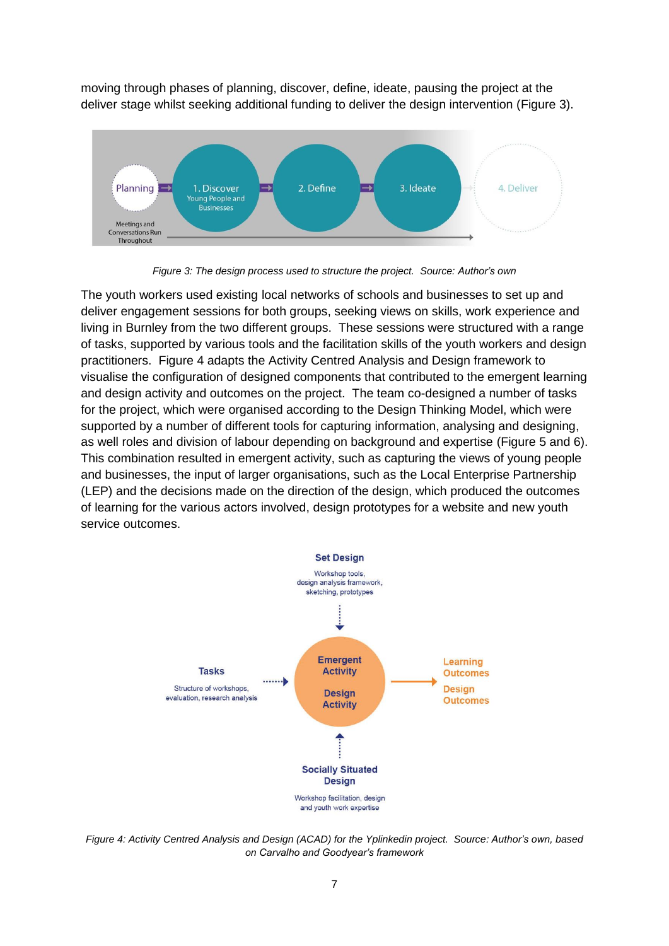moving through phases of planning, discover, define, ideate, pausing the project at the deliver stage whilst seeking additional funding to deliver the design intervention (Figure 3).



*Figure 3: The design process used to structure the project. Source: Author's own*

The youth workers used existing local networks of schools and businesses to set up and deliver engagement sessions for both groups, seeking views on skills, work experience and living in Burnley from the two different groups. These sessions were structured with a range of tasks, supported by various tools and the facilitation skills of the youth workers and design practitioners. Figure 4 adapts the Activity Centred Analysis and Design framework to visualise the configuration of designed components that contributed to the emergent learning and design activity and outcomes on the project. The team co-designed a number of tasks for the project, which were organised according to the Design Thinking Model, which were supported by a number of different tools for capturing information, analysing and designing, as well roles and division of labour depending on background and expertise (Figure 5 and 6). This combination resulted in emergent activity, such as capturing the views of young people and businesses, the input of larger organisations, such as the Local Enterprise Partnership (LEP) and the decisions made on the direction of the design, which produced the outcomes of learning for the various actors involved, design prototypes for a website and new youth service outcomes.



*Figure 4: Activity Centred Analysis and Design (ACAD) for the Yplinkedin project. Source: Author's own, based on Carvalho and Goodyear's framework*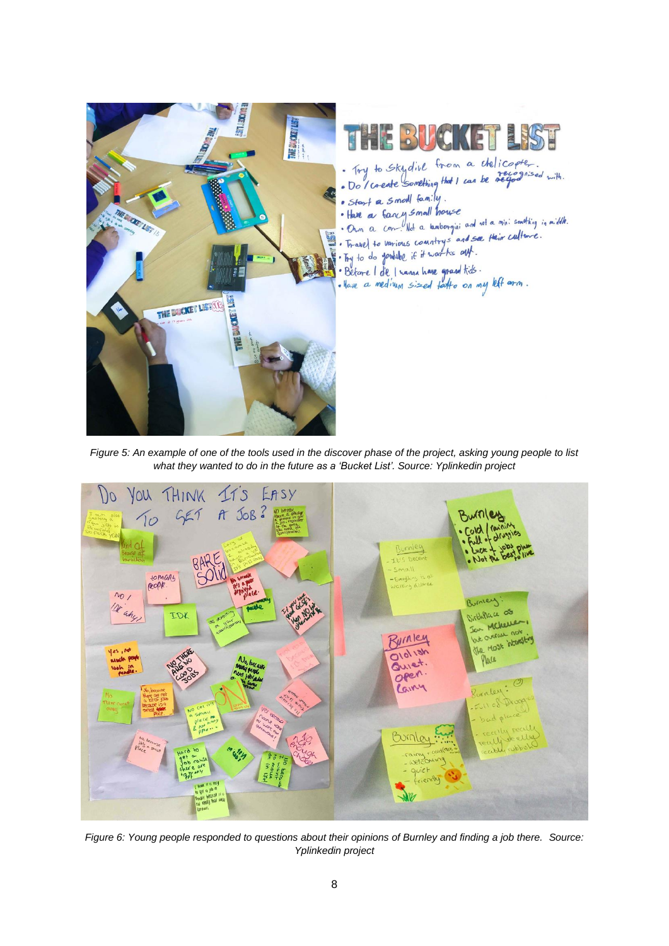

*Figure 5: An example of one of the tools used in the discover phase of the project, asking young people to list what they wanted to do in the future as a 'Bucket List'. Source: Yplinkedin project*



*Figure 6: Young people responded to questions about their opinions of Burnley and finding a job there. Source: Yplinkedin project*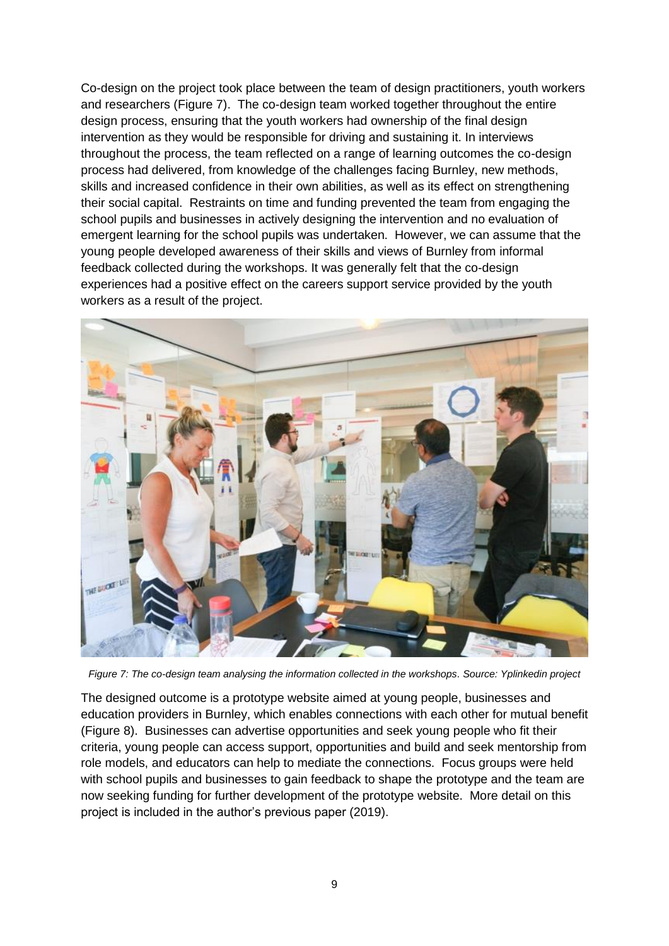Co-design on the project took place between the team of design practitioners, youth workers and researchers (Figure 7). The co-design team worked together throughout the entire design process, ensuring that the youth workers had ownership of the final design intervention as they would be responsible for driving and sustaining it. In interviews throughout the process, the team reflected on a range of learning outcomes the co-design process had delivered, from knowledge of the challenges facing Burnley, new methods, skills and increased confidence in their own abilities, as well as its effect on strengthening their social capital. Restraints on time and funding prevented the team from engaging the school pupils and businesses in actively designing the intervention and no evaluation of emergent learning for the school pupils was undertaken. However, we can assume that the young people developed awareness of their skills and views of Burnley from informal feedback collected during the workshops. It was generally felt that the co-design experiences had a positive effect on the careers support service provided by the youth workers as a result of the project.



*Figure 7: The co-design team analysing the information collected in the workshops. Source: Yplinkedin project*

The designed outcome is a prototype website aimed at young people, businesses and education providers in Burnley, which enables connections with each other for mutual benefit (Figure 8). Businesses can advertise opportunities and seek young people who fit their criteria, young people can access support, opportunities and build and seek mentorship from role models, and educators can help to mediate the connections. Focus groups were held with school pupils and businesses to gain feedback to shape the prototype and the team are now seeking funding for further development of the prototype website. More detail on this project is included in the author's previous paper (2019).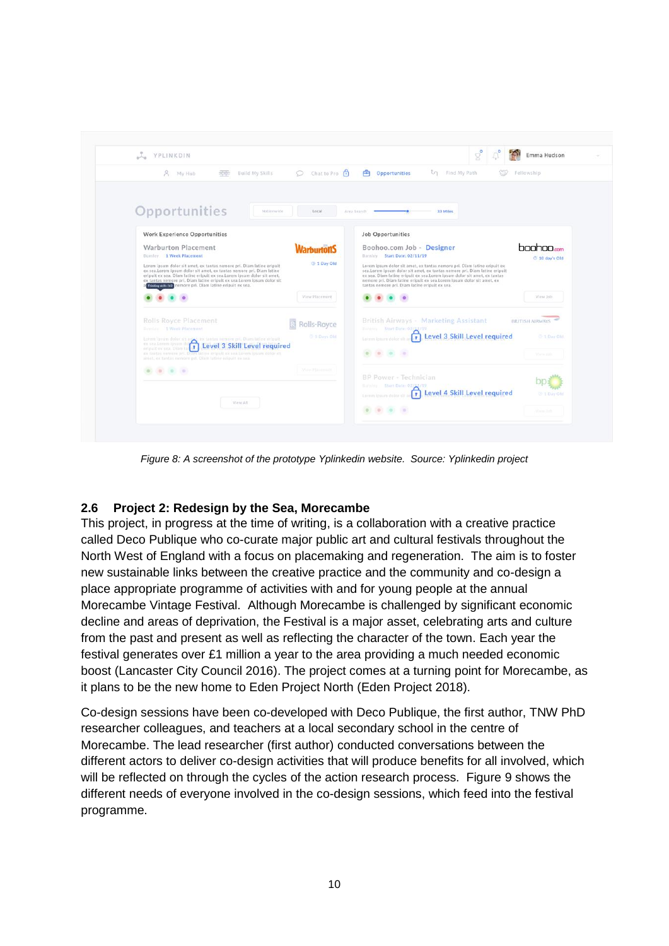| Ne YPLINKDIN                                                                                                                                                                                                                                                                                                                                                    |                           | $\mathbb{S}^{\bullet}$                                                                                                                                                                                                                                                                                                                                       |                          |
|-----------------------------------------------------------------------------------------------------------------------------------------------------------------------------------------------------------------------------------------------------------------------------------------------------------------------------------------------------------------|---------------------------|--------------------------------------------------------------------------------------------------------------------------------------------------------------------------------------------------------------------------------------------------------------------------------------------------------------------------------------------------------------|--------------------------|
| 大<br><b>Build My Skills</b><br>My Hub<br><b>STAR</b>                                                                                                                                                                                                                                                                                                            | Chat to Pro<br>$\bigcirc$ | ζη Find My Path<br>由<br><b>Opportunities</b><br>w                                                                                                                                                                                                                                                                                                            | Fellowship               |
|                                                                                                                                                                                                                                                                                                                                                                 |                           |                                                                                                                                                                                                                                                                                                                                                              |                          |
| Opportunities<br>Nationwide                                                                                                                                                                                                                                                                                                                                     | Local                     | 33 Miles<br>Area Search                                                                                                                                                                                                                                                                                                                                      |                          |
| <b>Work Experience Opportunities</b>                                                                                                                                                                                                                                                                                                                            |                           | <b>Job Opportunities</b>                                                                                                                                                                                                                                                                                                                                     |                          |
| Warburton Placement<br>Burnley 1 Week Placement                                                                                                                                                                                                                                                                                                                 | <b>Varhurton's</b>        | Boohoo.com Job - Designer<br>Burnley Start Date: 02/11/19                                                                                                                                                                                                                                                                                                    | boohoo<br>@ 10 day's Old |
| Lorem ipsum dolor sit amet, ex tantas nemore pri. Diam latine eripuit.<br>ex sea.Lorem ipsum dolor sit amet, ex tantas nemore pri. Diam latine<br>eripuit ex sea. Diam latine eripuit ex sea.Lorem ipsum dolor sit amet,<br>ex tantas nemore pri. Diam latine eripuit ex sea.Lorem ipsum dolor sit<br>Thinking milk tv2 nemore pri. Diam latine eripuit ex sea. | C 1 Day Old               | Lorem ipsum dolor sit amet, ex tantas nemore pri. Diam latine eripuit ex<br>sea.Lorem ipsum dolor sit amet, ex tantas nemore pri. Diam latine eripuit<br>ex sea. Diam latine eripuit ex sea.Lorem ipsum dolor sit amet, ex tantas<br>nemore pri. Diam latine eripuit ex sea.Lorem ipsum dolor sit amet, ex<br>tantas nemore pri. Diam latine eripuit ex sea. |                          |
|                                                                                                                                                                                                                                                                                                                                                                 | View Placement            |                                                                                                                                                                                                                                                                                                                                                              | View Job.                |
| <b>Rolls Royce Placement</b><br>Rumber 1 Week Placement                                                                                                                                                                                                                                                                                                         | Rolls-Royce               | British Airways - Marketing Assistant<br>Europes Start Date: 02/13/19                                                                                                                                                                                                                                                                                        | <b>BRITISH AIRWAYS</b>   |
| Lorem ignum deler ett ser an 1999 i Level 3 Skill Level require<br>Level 3 Skill Level required<br>origint ox sea. Diam is                                                                                                                                                                                                                                      | C 5 Days Old              | Level 3 Skill Level required<br>$\Box$<br>Lormm ipsum dolor sit as                                                                                                                                                                                                                                                                                           | C 1 Day Old              |
| es tantas nemore pri. Diam latine stipult ex sea Lorem ipsum doior sit<br>amet, ex tantas nemoce pri, Olam latine eripuit ex sex.                                                                                                                                                                                                                               |                           |                                                                                                                                                                                                                                                                                                                                                              |                          |
| $\sim$                                                                                                                                                                                                                                                                                                                                                          | Vidus Hanessad            | <b>BP Power - Technician</b>                                                                                                                                                                                                                                                                                                                                 |                          |
|                                                                                                                                                                                                                                                                                                                                                                 |                           | Himiles Shirt Date: 02/13/19<br>Level 4 Skill Level required<br><b>F</b><br>Lorem idsum dolor sit                                                                                                                                                                                                                                                            | <b>C</b> 1 Day Old       |
| View All                                                                                                                                                                                                                                                                                                                                                        |                           |                                                                                                                                                                                                                                                                                                                                                              |                          |

*Figure 8: A screenshot of the prototype Yplinkedin website. Source: Yplinkedin project*

## **2.6 Project 2: Redesign by the Sea, Morecambe**

This project, in progress at the time of writing, is a collaboration with a creative practice called Deco Publique who co-curate major public art and cultural festivals throughout the North West of England with a focus on placemaking and regeneration. The aim is to foster new sustainable links between the creative practice and the community and co-design a place appropriate programme of activities with and for young people at the annual Morecambe Vintage Festival. Although Morecambe is challenged by significant economic decline and areas of deprivation, the Festival is a major asset, celebrating arts and culture from the past and present as well as reflecting the character of the town. Each year the festival generates over £1 million a year to the area providing a much needed economic boost (Lancaster City Council 2016). The project comes at a turning point for Morecambe, as it plans to be the new home to Eden Project North (Eden Project 2018).

Co-design sessions have been co-developed with Deco Publique, the first author, TNW PhD researcher colleagues, and teachers at a local secondary school in the centre of Morecambe. The lead researcher (first author) conducted conversations between the different actors to deliver co-design activities that will produce benefits for all involved, which will be reflected on through the cycles of the action research process. Figure 9 shows the different needs of everyone involved in the co-design sessions, which feed into the festival programme.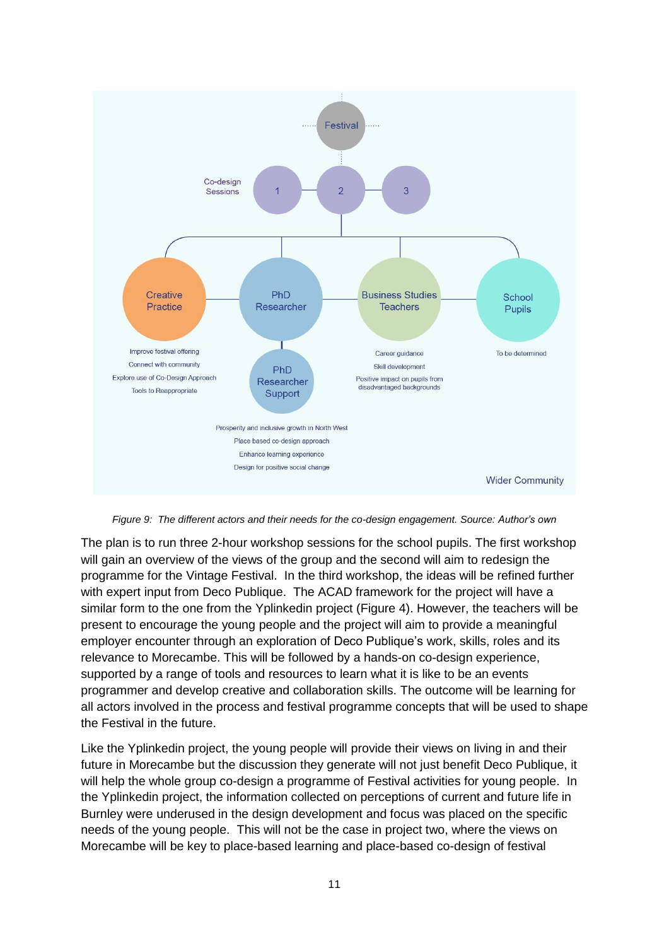

*Figure 9: The different actors and their needs for the co-design engagement. Source: Author's own*

The plan is to run three 2-hour workshop sessions for the school pupils. The first workshop will gain an overview of the views of the group and the second will aim to redesign the programme for the Vintage Festival. In the third workshop, the ideas will be refined further with expert input from Deco Publique. The ACAD framework for the project will have a similar form to the one from the Yplinkedin project (Figure 4). However, the teachers will be present to encourage the young people and the project will aim to provide a meaningful employer encounter through an exploration of Deco Publique's work, skills, roles and its relevance to Morecambe. This will be followed by a hands-on co-design experience, supported by a range of tools and resources to learn what it is like to be an events programmer and develop creative and collaboration skills. The outcome will be learning for all actors involved in the process and festival programme concepts that will be used to shape the Festival in the future.

Like the Yplinkedin project, the young people will provide their views on living in and their future in Morecambe but the discussion they generate will not just benefit Deco Publique, it will help the whole group co-design a programme of Festival activities for young people. In the Yplinkedin project, the information collected on perceptions of current and future life in Burnley were underused in the design development and focus was placed on the specific needs of the young people. This will not be the case in project two, where the views on Morecambe will be key to place-based learning and place-based co-design of festival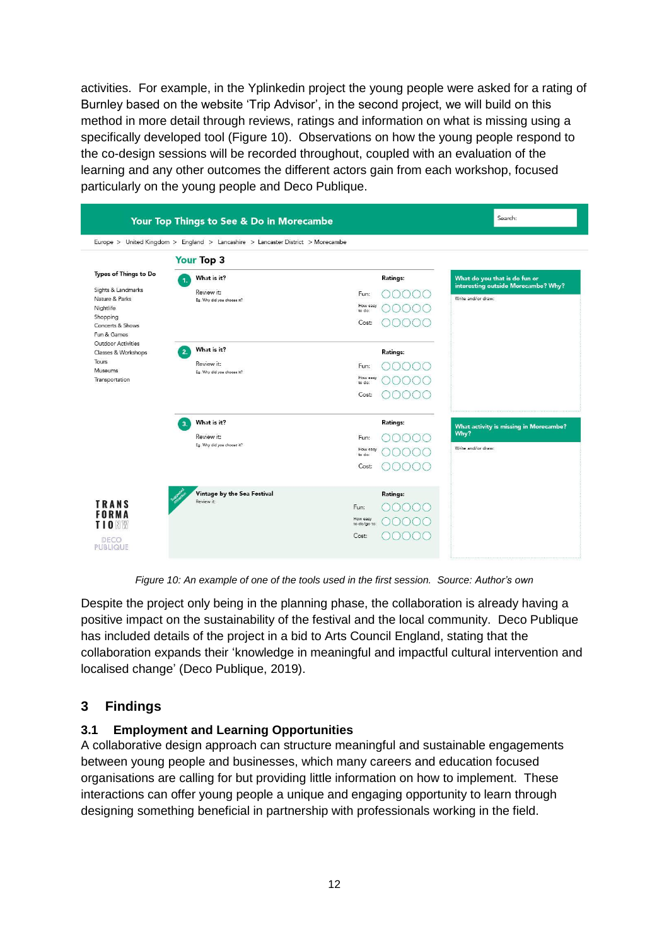activities. For example, in the Yplinkedin project the young people were asked for a rating of Burnley based on the website 'Trip Advisor', in the second project, we will build on this method in more detail through reviews, ratings and information on what is missing using a specifically developed tool (Figure 10). Observations on how the young people respond to the co-design sessions will be recorded throughout, coupled with an evaluation of the learning and any other outcomes the different actors gain from each workshop, focused particularly on the young people and Deco Publique.

| Your Top Things to See & Do in Morecambe     | Search:                                                                         |                          |          |                                                           |
|----------------------------------------------|---------------------------------------------------------------------------------|--------------------------|----------|-----------------------------------------------------------|
|                                              | Europe > United Kingdom > England > Lancashire > Lancaster District > Morecambe |                          |          |                                                           |
|                                              | <b>Your Top 3</b>                                                               |                          |          |                                                           |
| Types of Things to Do                        | What is it?<br>1.                                                               |                          | Ratings: | What do you that is do fun or                             |
| Sights & Landmarks<br>Nature & Parks         | Review it:<br>Eg. Why did you choose it?                                        | Fun:                     |          | interesting outside Morecambe? Why?<br>Write and/or draw: |
| Nightlife                                    |                                                                                 | How easy<br>to do:       |          |                                                           |
| Shopping<br>Concerts & Shows                 |                                                                                 | Cost:                    |          |                                                           |
| Fun & Games<br><b>Outdoor Activities</b>     | What is it?                                                                     |                          |          |                                                           |
| Classes & Workshops<br>Tours                 | 2<br>Review it:                                                                 |                          | Ratings: |                                                           |
| Museums<br>Transportation                    | Eg. Why did you choose it?                                                      | Fun:<br>How easy         |          |                                                           |
|                                              |                                                                                 | to do:                   |          |                                                           |
|                                              |                                                                                 | Cost:                    |          |                                                           |
|                                              | What is it?<br>$\overline{\mathbf{3}}$                                          |                          | Ratings: | What activity is missing in Morecambe?                    |
|                                              | Review it:<br>Eg. Why did you choose it?                                        | Fun:                     |          | Why?                                                      |
|                                              |                                                                                 | How easy<br>to do:       |          | Write and/or draw:                                        |
|                                              |                                                                                 | Cost:                    |          |                                                           |
| <b>TRANS</b><br><b>FORMA</b><br><b>TIONW</b> | Vintage by the Sea Festival                                                     |                          | Ratings: |                                                           |
|                                              | Review it:                                                                      | Fun:                     |          |                                                           |
|                                              |                                                                                 | How easy<br>to do/go to: |          |                                                           |
| DECO<br><b>PUBLIQUE</b>                      |                                                                                 | Cost:                    |          |                                                           |
|                                              |                                                                                 |                          |          |                                                           |

*Figure 10: An example of one of the tools used in the first session. Source: Author's own*

Despite the project only being in the planning phase, the collaboration is already having a positive impact on the sustainability of the festival and the local community. Deco Publique has included details of the project in a bid to Arts Council England, stating that the collaboration expands their 'knowledge in meaningful and impactful cultural intervention and localised change' (Deco Publique, 2019).

# **3 Findings**

## **3.1 Employment and Learning Opportunities**

A collaborative design approach can structure meaningful and sustainable engagements between young people and businesses, which many careers and education focused organisations are calling for but providing little information on how to implement. These interactions can offer young people a unique and engaging opportunity to learn through designing something beneficial in partnership with professionals working in the field.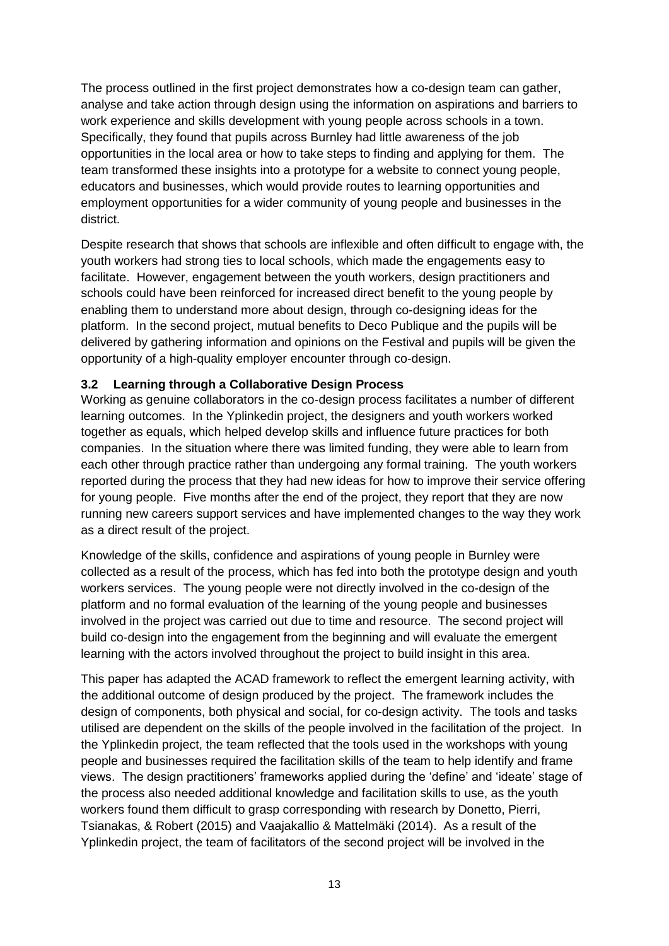The process outlined in the first project demonstrates how a co-design team can gather, analyse and take action through design using the information on aspirations and barriers to work experience and skills development with young people across schools in a town. Specifically, they found that pupils across Burnley had little awareness of the job opportunities in the local area or how to take steps to finding and applying for them. The team transformed these insights into a prototype for a website to connect young people, educators and businesses, which would provide routes to learning opportunities and employment opportunities for a wider community of young people and businesses in the district.

Despite research that shows that schools are inflexible and often difficult to engage with, the youth workers had strong ties to local schools, which made the engagements easy to facilitate. However, engagement between the youth workers, design practitioners and schools could have been reinforced for increased direct benefit to the young people by enabling them to understand more about design, through co-designing ideas for the platform. In the second project, mutual benefits to Deco Publique and the pupils will be delivered by gathering information and opinions on the Festival and pupils will be given the opportunity of a high-quality employer encounter through co-design.

#### **3.2 Learning through a Collaborative Design Process**

Working as genuine collaborators in the co-design process facilitates a number of different learning outcomes. In the Yplinkedin project, the designers and youth workers worked together as equals, which helped develop skills and influence future practices for both companies. In the situation where there was limited funding, they were able to learn from each other through practice rather than undergoing any formal training. The youth workers reported during the process that they had new ideas for how to improve their service offering for young people. Five months after the end of the project, they report that they are now running new careers support services and have implemented changes to the way they work as a direct result of the project.

Knowledge of the skills, confidence and aspirations of young people in Burnley were collected as a result of the process, which has fed into both the prototype design and youth workers services. The young people were not directly involved in the co-design of the platform and no formal evaluation of the learning of the young people and businesses involved in the project was carried out due to time and resource. The second project will build co-design into the engagement from the beginning and will evaluate the emergent learning with the actors involved throughout the project to build insight in this area.

This paper has adapted the ACAD framework to reflect the emergent learning activity, with the additional outcome of design produced by the project. The framework includes the design of components, both physical and social, for co-design activity. The tools and tasks utilised are dependent on the skills of the people involved in the facilitation of the project. In the Yplinkedin project, the team reflected that the tools used in the workshops with young people and businesses required the facilitation skills of the team to help identify and frame views. The design practitioners' frameworks applied during the 'define' and 'ideate' stage of the process also needed additional knowledge and facilitation skills to use, as the youth workers found them difficult to grasp corresponding with research by Donetto, Pierri, Tsianakas, & Robert (2015) and Vaajakallio & Mattelmäki (2014). As a result of the Yplinkedin project, the team of facilitators of the second project will be involved in the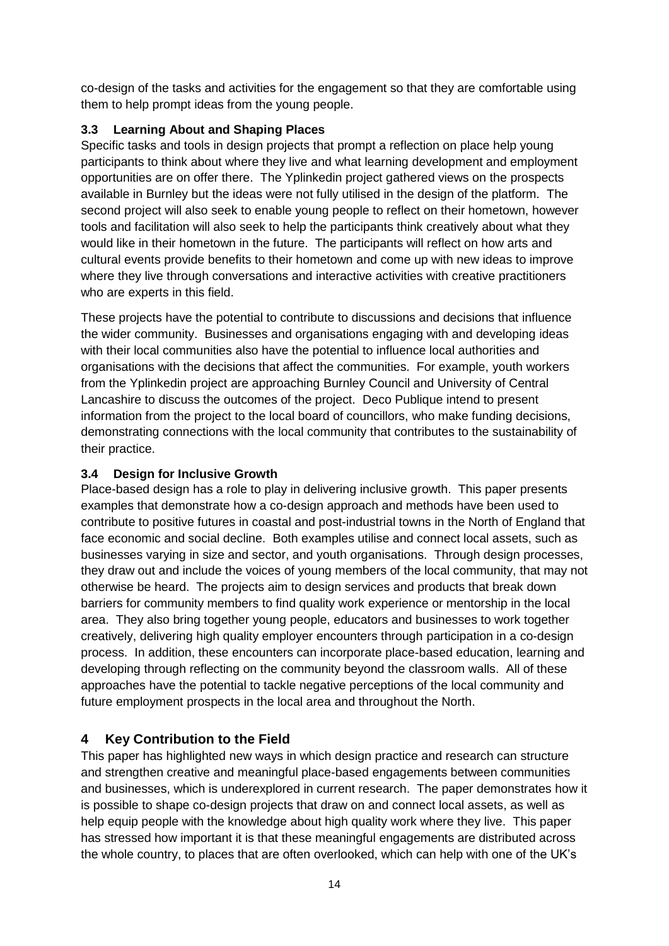co-design of the tasks and activities for the engagement so that they are comfortable using them to help prompt ideas from the young people.

## **3.3 Learning About and Shaping Places**

Specific tasks and tools in design projects that prompt a reflection on place help young participants to think about where they live and what learning development and employment opportunities are on offer there. The Yplinkedin project gathered views on the prospects available in Burnley but the ideas were not fully utilised in the design of the platform. The second project will also seek to enable young people to reflect on their hometown, however tools and facilitation will also seek to help the participants think creatively about what they would like in their hometown in the future. The participants will reflect on how arts and cultural events provide benefits to their hometown and come up with new ideas to improve where they live through conversations and interactive activities with creative practitioners who are experts in this field.

These projects have the potential to contribute to discussions and decisions that influence the wider community. Businesses and organisations engaging with and developing ideas with their local communities also have the potential to influence local authorities and organisations with the decisions that affect the communities. For example, youth workers from the Yplinkedin project are approaching Burnley Council and University of Central Lancashire to discuss the outcomes of the project. Deco Publique intend to present information from the project to the local board of councillors, who make funding decisions, demonstrating connections with the local community that contributes to the sustainability of their practice.

## **3.4 Design for Inclusive Growth**

Place-based design has a role to play in delivering inclusive growth. This paper presents examples that demonstrate how a co-design approach and methods have been used to contribute to positive futures in coastal and post-industrial towns in the North of England that face economic and social decline. Both examples utilise and connect local assets, such as businesses varying in size and sector, and youth organisations. Through design processes, they draw out and include the voices of young members of the local community, that may not otherwise be heard. The projects aim to design services and products that break down barriers for community members to find quality work experience or mentorship in the local area. They also bring together young people, educators and businesses to work together creatively, delivering high quality employer encounters through participation in a co-design process. In addition, these encounters can incorporate place-based education, learning and developing through reflecting on the community beyond the classroom walls. All of these approaches have the potential to tackle negative perceptions of the local community and future employment prospects in the local area and throughout the North.

# **4 Key Contribution to the Field**

This paper has highlighted new ways in which design practice and research can structure and strengthen creative and meaningful place-based engagements between communities and businesses, which is underexplored in current research. The paper demonstrates how it is possible to shape co-design projects that draw on and connect local assets, as well as help equip people with the knowledge about high quality work where they live. This paper has stressed how important it is that these meaningful engagements are distributed across the whole country, to places that are often overlooked, which can help with one of the UK's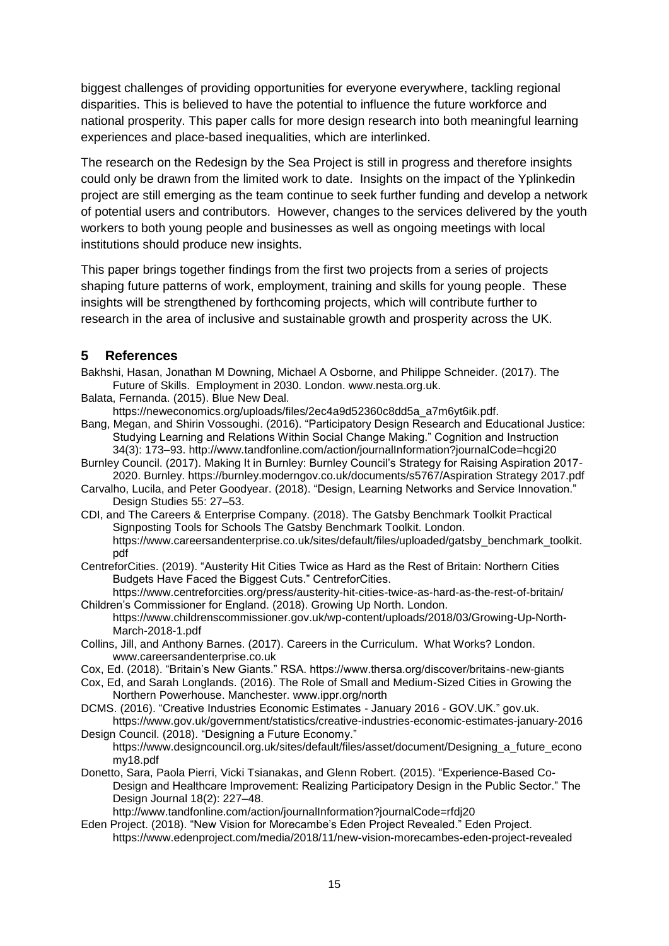biggest challenges of providing opportunities for everyone everywhere, tackling regional disparities. This is believed to have the potential to influence the future workforce and national prosperity. This paper calls for more design research into both meaningful learning experiences and place-based inequalities, which are interlinked.

The research on the Redesign by the Sea Project is still in progress and therefore insights could only be drawn from the limited work to date. Insights on the impact of the Yplinkedin project are still emerging as the team continue to seek further funding and develop a network of potential users and contributors. However, changes to the services delivered by the youth workers to both young people and businesses as well as ongoing meetings with local institutions should produce new insights.

This paper brings together findings from the first two projects from a series of projects shaping future patterns of work, employment, training and skills for young people. These insights will be strengthened by forthcoming projects, which will contribute further to research in the area of inclusive and sustainable growth and prosperity across the UK.

## **5 References**

- Bakhshi, Hasan, Jonathan M Downing, Michael A Osborne, and Philippe Schneider. (2017). The Future of Skills. Employment in 2030. London. www.nesta.org.uk.
- Balata, Fernanda. (2015). Blue New Deal.

https://neweconomics.org/uploads/files/2ec4a9d52360c8dd5a\_a7m6yt6ik.pdf.

- Bang, Megan, and Shirin Vossoughi. (2016). "Participatory Design Research and Educational Justice: Studying Learning and Relations Within Social Change Making." Cognition and Instruction 34(3): 173–93. http://www.tandfonline.com/action/journalInformation?journalCode=hcgi20
- Burnley Council. (2017). Making It in Burnley: Burnley Council's Strategy for Raising Aspiration 2017- 2020. Burnley. https://burnley.moderngov.co.uk/documents/s5767/Aspiration Strategy 2017.pdf
- Carvalho, Lucila, and Peter Goodyear. (2018). "Design, Learning Networks and Service Innovation." Design Studies 55: 27–53.
- CDI, and The Careers & Enterprise Company. (2018). The Gatsby Benchmark Toolkit Practical Signposting Tools for Schools The Gatsby Benchmark Toolkit. London. https://www.careersandenterprise.co.uk/sites/default/files/uploaded/gatsby\_benchmark\_toolkit. pdf
- CentreforCities. (2019). "Austerity Hit Cities Twice as Hard as the Rest of Britain: Northern Cities Budgets Have Faced the Biggest Cuts." CentreforCities.

https://www.centreforcities.org/press/austerity-hit-cities-twice-as-hard-as-the-rest-of-britain/ Children's Commissioner for England. (2018). Growing Up North. London.

- https://www.childrenscommissioner.gov.uk/wp-content/uploads/2018/03/Growing-Up-North-March-2018-1.pdf
- Collins, Jill, and Anthony Barnes. (2017). Careers in the Curriculum. What Works? London. www.careersandenterprise.co.uk
- Cox, Ed. (2018). "Britain's New Giants." RSA. https://www.thersa.org/discover/britains-new-giants
- Cox, Ed, and Sarah Longlands. (2016). The Role of Small and Medium-Sized Cities in Growing the Northern Powerhouse. Manchester. www.ippr.org/north
- DCMS. (2016). "Creative Industries Economic Estimates January 2016 GOV.UK." gov.uk. https://www.gov.uk/government/statistics/creative-industries-economic-estimates-january-2016 Design Council. (2018). "Designing a Future Economy."
- https://www.designcouncil.org.uk/sites/default/files/asset/document/Designing\_a\_future\_econo my18.pdf
- Donetto, Sara, Paola Pierri, Vicki Tsianakas, and Glenn Robert. (2015). "Experience-Based Co-Design and Healthcare Improvement: Realizing Participatory Design in the Public Sector." The Design Journal 18(2): 227–48.

http://www.tandfonline.com/action/journalInformation?journalCode=rfdj20

Eden Project. (2018). "New Vision for Morecambe's Eden Project Revealed." Eden Project. https://www.edenproject.com/media/2018/11/new-vision-morecambes-eden-project-revealed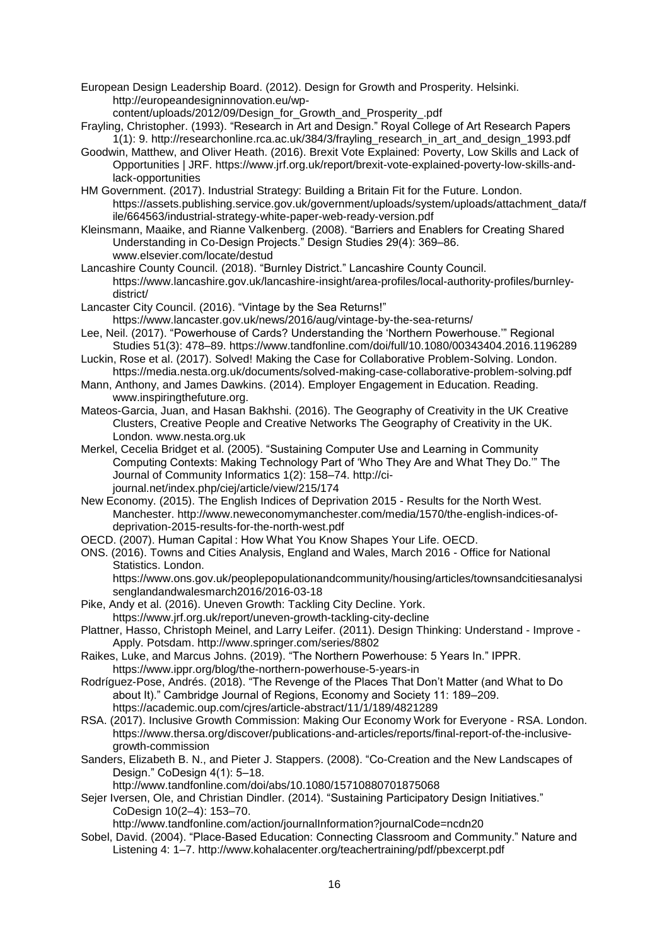European Design Leadership Board. (2012). Design for Growth and Prosperity. Helsinki. http://europeandesigninnovation.eu/wp-

content/uploads/2012/09/Design\_for\_Growth\_and\_Prosperity\_.pdf

- Frayling, Christopher. (1993). "Research in Art and Design." Royal College of Art Research Papers 1(1): 9. http://researchonline.rca.ac.uk/384/3/frayling\_research\_in\_art\_and\_design\_1993.pdf
- Goodwin, Matthew, and Oliver Heath. (2016). Brexit Vote Explained: Poverty, Low Skills and Lack of Opportunities | JRF. https://www.jrf.org.uk/report/brexit-vote-explained-poverty-low-skills-andlack-opportunities

HM Government. (2017). Industrial Strategy: Building a Britain Fit for the Future. London. https://assets.publishing.service.gov.uk/government/uploads/system/uploads/attachment\_data/f ile/664563/industrial-strategy-white-paper-web-ready-version.pdf

Kleinsmann, Maaike, and Rianne Valkenberg. (2008). "Barriers and Enablers for Creating Shared Understanding in Co-Design Projects." Design Studies 29(4): 369–86. www.elsevier.com/locate/destud

Lancashire County Council. (2018). "Burnley District." Lancashire County Council. https://www.lancashire.gov.uk/lancashire-insight/area-profiles/local-authority-profiles/burnleydistrict/

Lancaster City Council. (2016). "Vintage by the Sea Returns!"

https://www.lancaster.gov.uk/news/2016/aug/vintage-by-the-sea-returns/

- Lee, Neil. (2017). "Powerhouse of Cards? Understanding the 'Northern Powerhouse.'" Regional Studies 51(3): 478–89. https://www.tandfonline.com/doi/full/10.1080/00343404.2016.1196289
- Luckin, Rose et al. (2017). Solved! Making the Case for Collaborative Problem-Solving. London. https://media.nesta.org.uk/documents/solved-making-case-collaborative-problem-solving.pdf
- Mann, Anthony, and James Dawkins. (2014). Employer Engagement in Education. Reading. www.inspiringthefuture.org.
- Mateos-Garcia, Juan, and Hasan Bakhshi. (2016). The Geography of Creativity in the UK Creative Clusters, Creative People and Creative Networks The Geography of Creativity in the UK. London. www.nesta.org.uk
- Merkel, Cecelia Bridget et al. (2005). "Sustaining Computer Use and Learning in Community Computing Contexts: Making Technology Part of 'Who They Are and What They Do.'" The Journal of Community Informatics 1(2): 158–74. http://cijournal.net/index.php/ciej/article/view/215/174
- New Economy. (2015). The English Indices of Deprivation 2015 Results for the North West. Manchester. http://www.neweconomymanchester.com/media/1570/the-english-indices-ofdeprivation-2015-results-for-the-north-west.pdf
- OECD. (2007). Human Capital : How What You Know Shapes Your Life. OECD.
- ONS. (2016). Towns and Cities Analysis, England and Wales, March 2016 Office for National Statistics. London.

https://www.ons.gov.uk/peoplepopulationandcommunity/housing/articles/townsandcitiesanalysi senglandandwalesmarch2016/2016-03-18

- Pike, Andy et al. (2016). Uneven Growth: Tackling City Decline. York.
- https://www.jrf.org.uk/report/uneven-growth-tackling-city-decline Plattner, Hasso, Christoph Meinel, and Larry Leifer. (2011). Design Thinking: Understand - Improve - Apply. Potsdam. http://www.springer.com/series/8802
- Raikes, Luke, and Marcus Johns. (2019). "The Northern Powerhouse: 5 Years In." IPPR. https://www.ippr.org/blog/the-northern-powerhouse-5-years-in
- Rodríguez-Pose, Andrés. (2018). "The Revenge of the Places That Don't Matter (and What to Do about It)." Cambridge Journal of Regions, Economy and Society 11: 189–209. https://academic.oup.com/cjres/article-abstract/11/1/189/4821289
- RSA. (2017). Inclusive Growth Commission: Making Our Economy Work for Everyone RSA. London. https://www.thersa.org/discover/publications-and-articles/reports/final-report-of-the-inclusivegrowth-commission
- Sanders, Elizabeth B. N., and Pieter J. Stappers. (2008). "Co-Creation and the New Landscapes of Design." CoDesign 4(1): 5–18.
	- http://www.tandfonline.com/doi/abs/10.1080/15710880701875068

Sejer Iversen, Ole, and Christian Dindler. (2014). "Sustaining Participatory Design Initiatives." CoDesign 10(2–4): 153–70.

http://www.tandfonline.com/action/journalInformation?journalCode=ncdn20

Sobel, David. (2004). "Place-Based Education: Connecting Classroom and Community." Nature and Listening 4: 1–7. http://www.kohalacenter.org/teachertraining/pdf/pbexcerpt.pdf